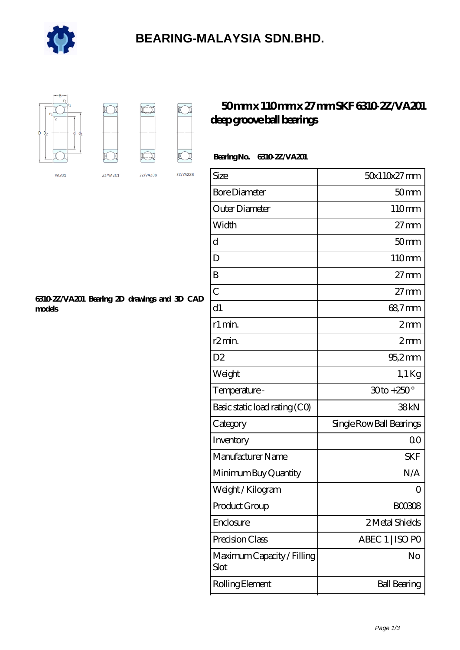

### **[BEARING-MALAYSIA SDN.BHD.](https://e-marc.net)**



### **[50 mm x 110 mm x 27 mm SKF 6310-2Z/VA201](https://e-marc.net/skf-6310-2z-va201-bearing/) [deep groove ball bearings](https://e-marc.net/skf-6310-2z-va201-bearing/)**

#### **Bearing No. 6310-2Z/VA201**

| Size                               | 50x110x27mm              |
|------------------------------------|--------------------------|
| <b>Bore Diameter</b>               | 50 <sub>mm</sub>         |
| Outer Diameter                     | 110mm                    |
| Width                              | $27 \text{mm}$           |
| d                                  | 50 <sub>mm</sub>         |
| D                                  | 110mm                    |
| B                                  | $27 \text{mm}$           |
| $\overline{C}$                     | $27 \text{mm}$           |
| d1                                 | 68,7mm                   |
| r1 min.                            | $2 \text{mm}$            |
| r <sub>2</sub> min.                | 2mm                      |
| D <sub>2</sub>                     | 95,2mm                   |
| Weight                             | $1,1$ Kg                 |
| Temperature-                       | $30$ to +250 $^{\circ}$  |
| Basic static load rating (CO)      | 38kN                     |
| Category                           | Single Row Ball Bearings |
| Inventory                          | 0 <sup>0</sup>           |
| Manufacturer Name                  | <b>SKF</b>               |
| Minimum Buy Quantity               | N/A                      |
| Weight / Kilogram                  | $\Omega$                 |
| Product Group                      | <b>BOO308</b>            |
| Enclosure                          | 2 Metal Shields          |
| Precision Class                    | ABEC 1   ISO PO          |
| Maximum Capacity / Filling<br>Slot | No                       |
| Rolling Element                    | <b>Ball Bearing</b>      |

#### **[6310-2Z/VA201 Bearing 2D drawings and 3D CAD](https://e-marc.net/pic-65141571.html) [models](https://e-marc.net/pic-65141571.html)**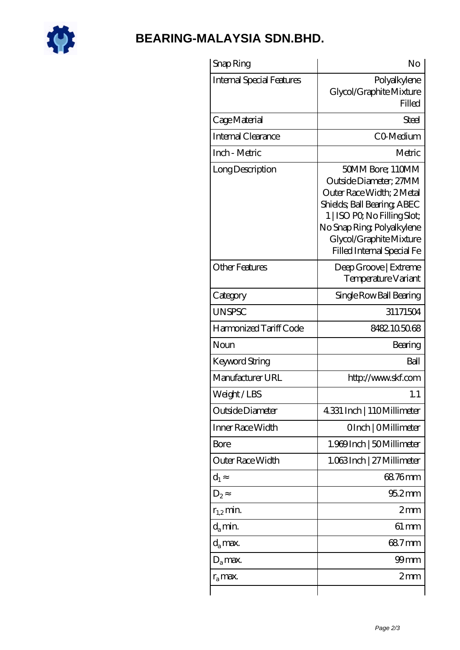

## **[BEARING-MALAYSIA SDN.BHD.](https://e-marc.net)**

| Snap Ring                 | No                                                                                                                                                                                                                           |
|---------------------------|------------------------------------------------------------------------------------------------------------------------------------------------------------------------------------------------------------------------------|
| Internal Special Features | Polyalkylene<br>Glycol/Graphite Mixture<br>Filled                                                                                                                                                                            |
| Cage Material             | Steel                                                                                                                                                                                                                        |
| Internal Clearance        | CO-Medium                                                                                                                                                                                                                    |
| Inch - Metric             | Metric                                                                                                                                                                                                                       |
| Long Description          | 50MM Bore; 110MM<br>Outside Diameter; 27MM<br>Outer Race Width; 2Metal<br>Shields, Ball Bearing, ABEC<br>1   ISO PO, No Filling Slot;<br>No Snap Ring, Polyalkylene<br>Glycol/Graphite Mixture<br>Filled Internal Special Fe |
| <b>Other Features</b>     | Deep Groove   Extreme<br>Temperature Variant                                                                                                                                                                                 |
| Category                  | Single Row Ball Bearing                                                                                                                                                                                                      |
| <b>UNSPSC</b>             | 31171504                                                                                                                                                                                                                     |
| Harmonized Tariff Code    | 8482.105068                                                                                                                                                                                                                  |
| Noun                      | Bearing                                                                                                                                                                                                                      |
| <b>Keyword String</b>     | Ball                                                                                                                                                                                                                         |
| Manufacturer URL          | http://www.skf.com                                                                                                                                                                                                           |
| Weight/LBS                | 1.1                                                                                                                                                                                                                          |
| Outside Diameter          | 4.331 Inch   110Millimeter                                                                                                                                                                                                   |
| Inner Race Width          | OInch   OMillimeter                                                                                                                                                                                                          |
| <b>Bore</b>               | 1.969 Inch   50 Millimeter                                                                                                                                                                                                   |
| Outer Race Width          | 1.063Inch   27 Millimeter                                                                                                                                                                                                    |
| $d_1$                     | 68.76mm                                                                                                                                                                                                                      |
| $D_2$                     | $952$ mm                                                                                                                                                                                                                     |
| $r_{1,2}$ min.            | 2mm                                                                                                                                                                                                                          |
| $d_a$ min.                | 61 mm                                                                                                                                                                                                                        |
| d <sub>a</sub> max.       | 68.7mm                                                                                                                                                                                                                       |
| $D_a$ max.                | $99$ mm                                                                                                                                                                                                                      |
| $r_a$ max.                | 2 <sub>mm</sub>                                                                                                                                                                                                              |
|                           |                                                                                                                                                                                                                              |